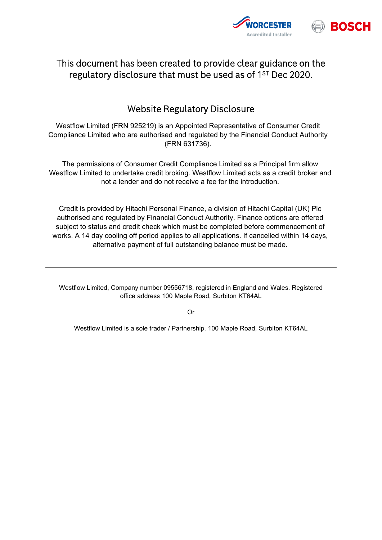

## This document has been created to provide clear guidance on the regulatory disclosure that must be used as of 1<sup>st</sup> Dec 2020.

## Website Regulatory Disclosure

Westflow Limited (FRN 925219) is an Appointed Representative of Consumer Credit Compliance Limited who are authorised and regulated by the Financial Conduct Authority (FRN 631736).

The permissions of Consumer Credit Compliance Limited as a Principal firm allow Westflow Limited to undertake credit broking. Westflow Limited acts as a credit broker and not a lender and do not receive a fee for the introduction.

Credit is provided by Hitachi Personal Finance, a division of Hitachi Capital (UK) Plc authorised and regulated by Financial Conduct Authority. Finance options are offered subject to status and credit check which must be completed before commencement of works. A 14 day cooling off period applies to all applications. If cancelled within 14 days, alternative payment of full outstanding balance must be made.

Westflow Limited, Company number 09556718, registered in England and Wales. Registered office address 100 Maple Road, Surbiton KT64AL

Or

Westflow Limited is a sole trader / Partnership. 100 Maple Road, Surbiton KT64AL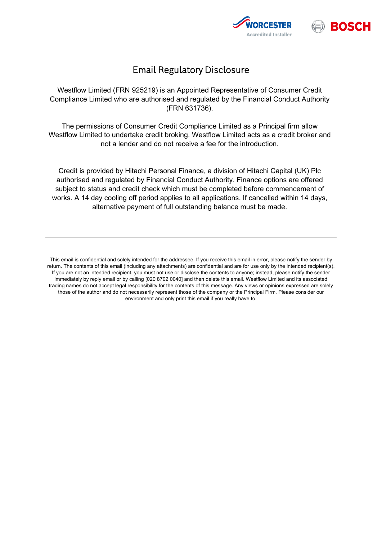



## Email Regulatory Disclosure

Westflow Limited (FRN 925219) is an Appointed Representative of Consumer Credit Compliance Limited who are authorised and regulated by the Financial Conduct Authority (FRN 631736).

The permissions of Consumer Credit Compliance Limited as a Principal firm allow Westflow Limited to undertake credit broking. Westflow Limited acts as a credit broker and not a lender and do not receive a fee for the introduction.

Credit is provided by Hitachi Personal Finance, a division of Hitachi Capital (UK) Plc authorised and regulated by Financial Conduct Authority. Finance options are offered subject to status and credit check which must be completed before commencement of works. A 14 day cooling off period applies to all applications. If cancelled within 14 days, alternative payment of full outstanding balance must be made.

This email is confidential and solely intended for the addressee. If you receive this email in error, please notify the sender by return. The contents of this email (including any attachments) are confidential and are for use only by the intended recipient(s). If you are not an intended recipient, you must not use or disclose the contents to anyone; instead, please notify the sender immediately by reply email or by calling [020 8702 0040] and then delete this email. Westflow Limited and its associated trading names do not accept legal responsibility for the contents of this message. Any views or opinions expressed are solely those of the author and do not necessarily represent those of the company or the Principal Firm. Please consider our environment and only print this email if you really have to.